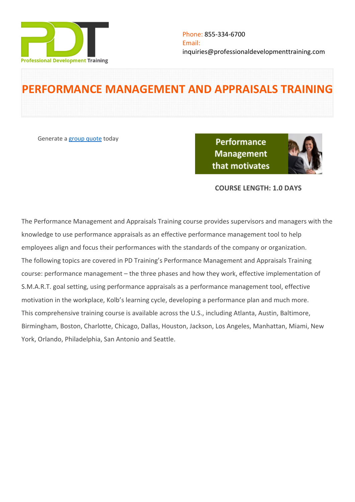

# **PERFORMANCE MANAGEMENT AND APPRAISALS TRAINING**

Generate a [group quote](https://professionaldevelopmenttraining.com/inhouse-training-quote?cse=PDT063) today

**Performance Management** that motivates



# **COURSE LENGTH: 1.0 DAYS**

The Performance Management and Appraisals Training course provides supervisors and managers with the knowledge to use performance appraisals as an effective performance management tool to help employees align and focus their performances with the standards of the company or organization. The following topics are covered in PD Training's Performance Management and Appraisals Training course: performance management – the three phases and how they work, effective implementation of S.M.A.R.T. goal setting, using performance appraisals as a performance management tool, effective motivation in the workplace, Kolb's learning cycle, developing a performance plan and much more. This comprehensive training course is available across the U.S., including Atlanta, Austin, Baltimore, Birmingham, Boston, Charlotte, Chicago, Dallas, Houston, Jackson, Los Angeles, Manhattan, Miami, New York, Orlando, Philadelphia, San Antonio and Seattle.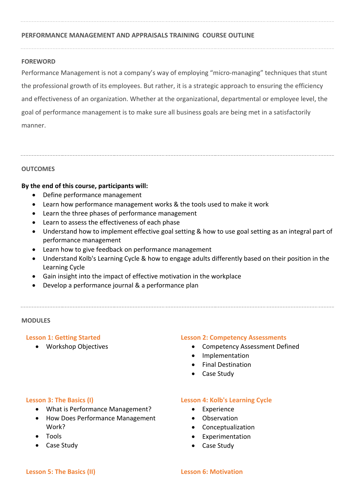# **PERFORMANCE MANAGEMENT AND APPRAISALS TRAINING COURSE OUTLINE**

## **FOREWORD**

Performance Management is not a company's way of employing "micro-managing" techniques that stunt the professional growth of its employees. But rather, it is a strategic approach to ensuring the efficiency and effectiveness of an organization. Whether at the organizational, departmental or employee level, the goal of performance management is to make sure all business goals are being met in a satisfactorily manner.

# **OUTCOMES**

# **By the end of this course, participants will:**

- Define performance management
- Learn how performance management works & the tools used to make it work
- Learn the three phases of performance management
- Learn to assess the effectiveness of each phase
- Understand how to implement effective goal setting & how to use goal setting as an integral part of performance management
- Learn how to give feedback on performance management
- Understand Kolb's Learning Cycle & how to engage adults differently based on their position in the Learning Cycle
- Gain insight into the impact of effective motivation in the workplace
- Develop a performance journal & a performance plan

### **MODULES**

### **Lesson 1: Getting Started**

Workshop Objectives

### **Lesson 2: Competency Assessments**

- Competency Assessment Defined
- Implementation
- Final Destination
- Case Study

### **Lesson 3: The Basics (I)**

- What is Performance Management?
- How Does Performance Management Work?
- Tools
- Case Study

#### **Lesson 4: Kolb's Learning Cycle**

- Experience
- Observation
- Conceptualization
- Experimentation
- Case Study